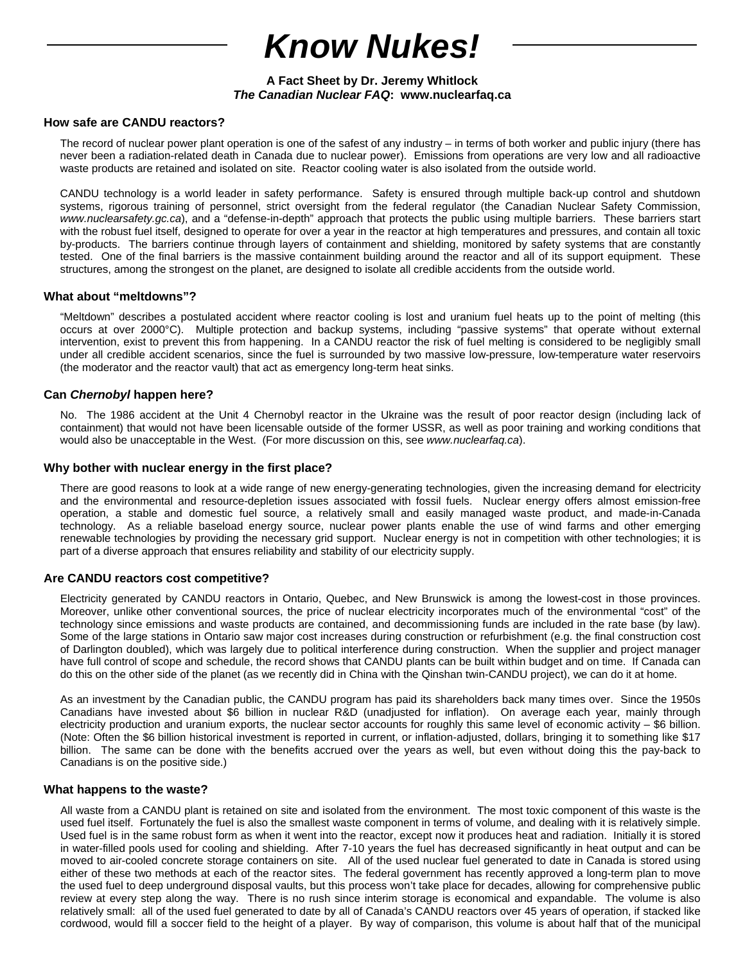# *Know Nukes!*

# **A Fact Sheet by Dr. Jeremy Whitlock**  *The Canadian Nuclear FAQ***: www.nuclearfaq.ca**

## **How safe are CANDU reactors?**

The record of nuclear power plant operation is one of the safest of any industry – in terms of both worker and public injury (there has never been a radiation-related death in Canada due to nuclear power). Emissions from operations are very low and all radioactive waste products are retained and isolated on site. Reactor cooling water is also isolated from the outside world.

CANDU technology is a world leader in safety performance. Safety is ensured through multiple back-up control and shutdown systems, rigorous training of personnel, strict oversight from the federal regulator (the Canadian Nuclear Safety Commission, *www.nuclearsafety.gc.ca*), and a "defense-in-depth" approach that protects the public using multiple barriers. These barriers start with the robust fuel itself, designed to operate for over a year in the reactor at high temperatures and pressures, and contain all toxic by-products. The barriers continue through layers of containment and shielding, monitored by safety systems that are constantly tested. One of the final barriers is the massive containment building around the reactor and all of its support equipment. These structures, among the strongest on the planet, are designed to isolate all credible accidents from the outside world.

## **What about "meltdowns"?**

"Meltdown" describes a postulated accident where reactor cooling is lost and uranium fuel heats up to the point of melting (this occurs at over 2000°C). Multiple protection and backup systems, including "passive systems" that operate without external intervention, exist to prevent this from happening. In a CANDU reactor the risk of fuel melting is considered to be negligibly small under all credible accident scenarios, since the fuel is surrounded by two massive low-pressure, low-temperature water reservoirs (the moderator and the reactor vault) that act as emergency long-term heat sinks.

# **Can** *Chernobyl* **happen here?**

No. The 1986 accident at the Unit 4 Chernobyl reactor in the Ukraine was the result of poor reactor design (including lack of containment) that would not have been licensable outside of the former USSR, as well as poor training and working conditions that would also be unacceptable in the West. (For more discussion on this, see www.nuclearfaq.ca).

## **Why bother with nuclear energy in the first place?**

There are good reasons to look at a wide range of new energy-generating technologies, given the increasing demand for electricity and the environmental and resource-depletion issues associated with fossil fuels. Nuclear energy offers almost emission-free operation, a stable and domestic fuel source, a relatively small and easily managed waste product, and made-in-Canada technology. As a reliable baseload energy source, nuclear power plants enable the use of wind farms and other emerging renewable technologies by providing the necessary grid support. Nuclear energy is not in competition with other technologies; it is part of a diverse approach that ensures reliability and stability of our electricity supply.

## **Are CANDU reactors cost competitive?**

Electricity generated by CANDU reactors in Ontario, Quebec, and New Brunswick is among the lowest-cost in those provinces. Moreover, unlike other conventional sources, the price of nuclear electricity incorporates much of the environmental "cost" of the technology since emissions and waste products are contained, and decommissioning funds are included in the rate base (by law). Some of the large stations in Ontario saw major cost increases during construction or refurbishment (e.g. the final construction cost of Darlington doubled), which was largely due to political interference during construction. When the supplier and project manager have full control of scope and schedule, the record shows that CANDU plants can be built within budget and on time. If Canada can do this on the other side of the planet (as we recently did in China with the Qinshan twin-CANDU project), we can do it at home.

As an investment by the Canadian public, the CANDU program has paid its shareholders back many times over. Since the 1950s Canadians have invested about \$6 billion in nuclear R&D (unadjusted for inflation). On average each year, mainly through electricity production and uranium exports, the nuclear sector accounts for roughly this same level of economic activity  $-$  \$6 billion. (Note: Often the \$6 billion historical investment is reported in current, or inflation-adjusted, dollars, bringing it to something like \$17 billion. The same can be done with the benefits accrued over the years as well, but even without doing this the pay-back to Canadians is on the positive side.)

## **What happens to the waste?**

All waste from a CANDU plant is retained on site and isolated from the environment. The most toxic component of this waste is the used fuel itself. Fortunately the fuel is also the smallest waste component in terms of volume, and dealing with it is relatively simple. Used fuel is in the same robust form as when it went into the reactor, except now it produces heat and radiation. Initially it is stored in water-filled pools used for cooling and shielding. After 7-10 years the fuel has decreased significantly in heat output and can be moved to air-cooled concrete storage containers on site. All of the used nuclear fuel generated to date in Canada is stored using either of these two methods at each of the reactor sites. The federal government has recently approved a long-term plan to move the used fuel to deep underground disposal vaults, but this process won't take place for decades, allowing for comprehensive public review at every step along the way. There is no rush since interim storage is economical and expandable. The volume is also relatively small: all of the used fuel generated to date by all of Canada's CANDU reactors over 45 years of operation, if stacked like cordwood, would fill a soccer field to the height of a player. By way of comparison, this volume is about half that of the municipal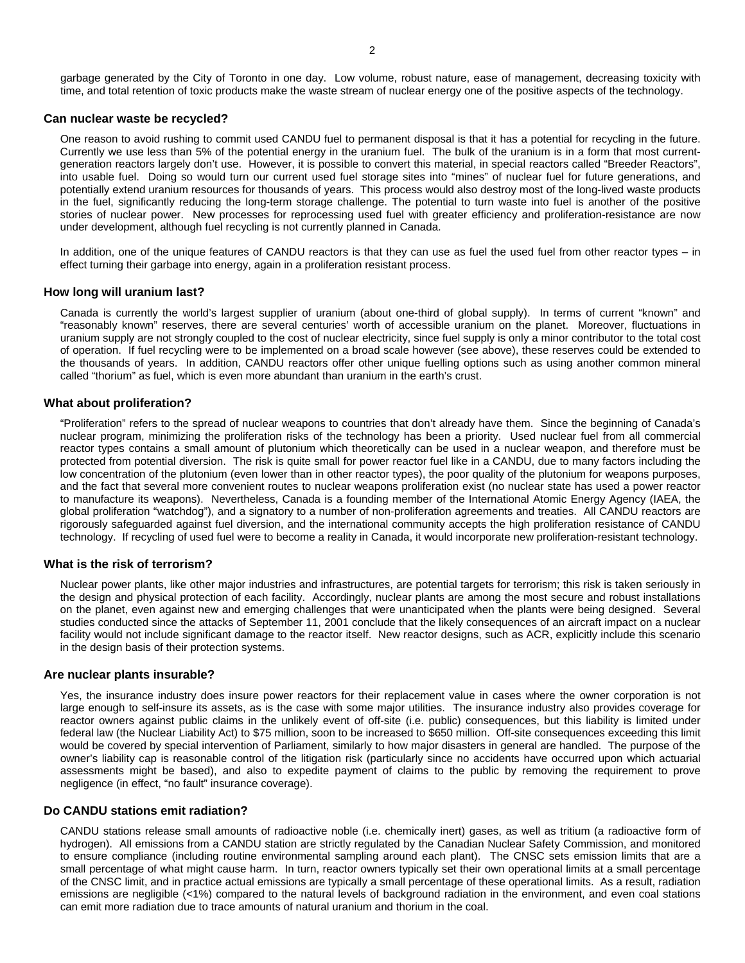## **Can nuclear waste be recycled?**

One reason to avoid rushing to commit used CANDU fuel to permanent disposal is that it has a potential for recycling in the future. Currently we use less than 5% of the potential energy in the uranium fuel. The bulk of the uranium is in a form that most currentgeneration reactors largely don't use. However, it is possible to convert this material, in special reactors called "Breeder Reactors", into usable fuel. Doing so would turn our current used fuel storage sites into "mines" of nuclear fuel for future generations, and potentially extend uranium resources for thousands of years. This process would also destroy most of the long-lived waste products in the fuel, significantly reducing the long-term storage challenge. The potential to turn waste into fuel is another of the positive stories of nuclear power. New processes for reprocessing used fuel with greater efficiency and proliferation-resistance are now under development, although fuel recycling is not currently planned in Canada.

In addition, one of the unique features of CANDU reactors is that they can use as fuel the used fuel from other reactor types – in effect turning their garbage into energy, again in a proliferation resistant process.

#### **How long will uranium last?**

Canada is currently the world's largest supplier of uranium (about one-third of global supply). In terms of current "known" and "reasonably known" reserves, there are several centuries' worth of accessible uranium on the planet. Moreover, fluctuations in uranium supply are not strongly coupled to the cost of nuclear electricity, since fuel supply is only a minor contributor to the total cost of operation. If fuel recycling were to be implemented on a broad scale however (see above), these reserves could be extended to the thousands of years. In addition, CANDU reactors offer other unique fuelling options such as using another common mineral called "thorium" as fuel, which is even more abundant than uranium in the earth's crust.

#### **What about proliferation?**

"Proliferation" refers to the spread of nuclear weapons to countries that don't already have them. Since the beginning of Canada's nuclear program, minimizing the proliferation risks of the technology has been a priority. Used nuclear fuel from all commercial reactor types contains a small amount of plutonium which theoretically can be used in a nuclear weapon, and therefore must be protected from potential diversion. The risk is quite small for power reactor fuel like in a CANDU, due to many factors including the low concentration of the plutonium (even lower than in other reactor types), the poor quality of the plutonium for weapons purposes, and the fact that several more convenient routes to nuclear weapons proliferation exist (no nuclear state has used a power reactor to manufacture its weapons). Nevertheless, Canada is a founding member of the International Atomic Energy Agency (IAEA, the global proliferation "watchdog"), and a signatory to a number of non-proliferation agreements and treaties. All CANDU reactors are rigorously safeguarded against fuel diversion, and the international community accepts the high proliferation resistance of CANDU technology. If recycling of used fuel were to become a reality in Canada, it would incorporate new proliferation-resistant technology.

#### **What is the risk of terrorism?**

Nuclear power plants, like other major industries and infrastructures, are potential targets for terrorism; this risk is taken seriously in the design and physical protection of each facility. Accordingly, nuclear plants are among the most secure and robust installations on the planet, even against new and emerging challenges that were unanticipated when the plants were being designed. Several studies conducted since the attacks of September 11, 2001 conclude that the likely consequences of an aircraft impact on a nuclear facility would not include significant damage to the reactor itself. New reactor designs, such as ACR, explicitly include this scenario in the design basis of their protection systems.

#### **Are nuclear plants insurable?**

Yes, the insurance industry does insure power reactors for their replacement value in cases where the owner corporation is not large enough to self-insure its assets, as is the case with some major utilities. The insurance industry also provides coverage for reactor owners against public claims in the unlikely event of off-site (i.e. public) consequences, but this liability is limited under federal law (the Nuclear Liability Act) to \$75 million, soon to be increased to \$650 million. Off-site consequences exceeding this limit would be covered by special intervention of Parliament, similarly to how major disasters in general are handled. The purpose of the owner's liability cap is reasonable control of the litigation risk (particularly since no accidents have occurred upon which actuarial assessments might be based), and also to expedite payment of claims to the public by removing the requirement to prove negligence (in effect, "no fault" insurance coverage).

#### **Do CANDU stations emit radiation?**

CANDU stations release small amounts of radioactive noble (i.e. chemically inert) gases, as well as tritium (a radioactive form of hydrogen). All emissions from a CANDU station are strictly regulated by the Canadian Nuclear Safety Commission, and monitored to ensure compliance (including routine environmental sampling around each plant). The CNSC sets emission limits that are a small percentage of what might cause harm. In turn, reactor owners typically set their own operational limits at a small percentage of the CNSC limit, and in practice actual emissions are typically a small percentage of these operational limits. As a result, radiation emissions are negligible (<1%) compared to the natural levels of background radiation in the environment, and even coal stations can emit more radiation due to trace amounts of natural uranium and thorium in the coal.